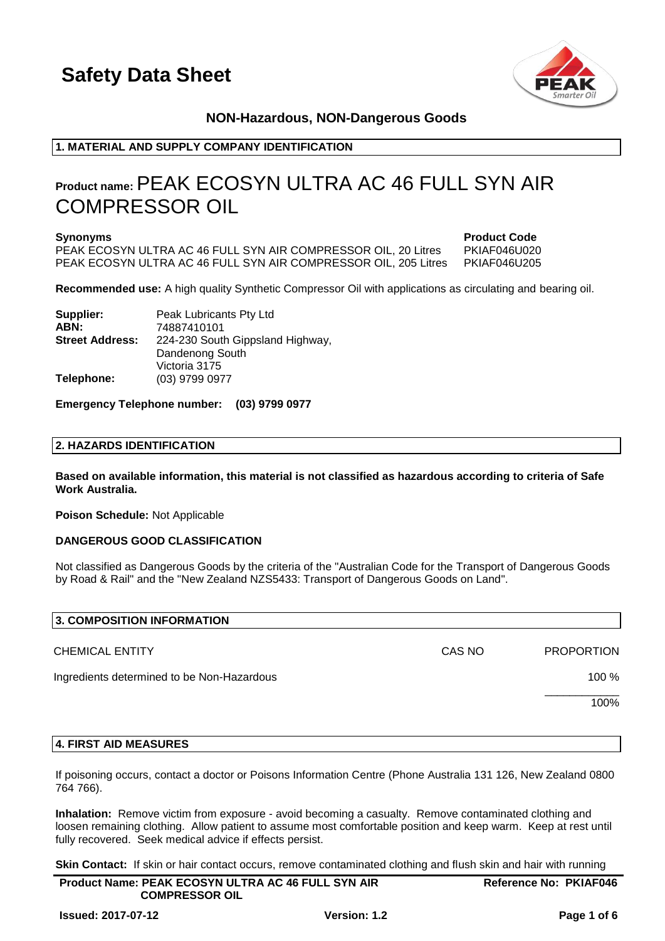

# **NON-Hazardous, NON-Dangerous Goods**

### **1. MATERIAL AND SUPPLY COMPANY IDENTIFICATION**

# **Product name:**PEAK ECOSYN ULTRA AC 46 FULL SYN AIR COMPRESSOR OIL

PEAK ECOSYN ULTRA AC 46 FULL SYN AIR COMPRESSOR OIL, 20 Litres PKIAF046U020 PEAK ECOSYN ULTRA AC 46 FULL SYN AIR COMPRESSOR OIL, 205 Litres PKIAF046U205

**Synonyms Product Code** 

**Recommended use:** A high quality Synthetic Compressor Oil with applications as circulating and bearing oil.

| Supplier:              | Peak Lubricants Pty Ltd          |
|------------------------|----------------------------------|
| ABN:                   | 74887410101                      |
| <b>Street Address:</b> | 224-230 South Gippsland Highway, |
|                        | Dandenong South                  |
|                        | Victoria 3175                    |
| Telephone:             | (03) 9799 0977                   |

### **Emergency Telephone number: (03) 9799 0977**

### **2. HAZARDS IDENTIFICATION**

**Based on available information, this material is not classified as hazardous according to criteria of Safe Work Australia.**

**Poison Schedule:** Not Applicable

### **DANGEROUS GOOD CLASSIFICATION**

Not classified as Dangerous Goods by the criteria of the "Australian Code for the Transport of Dangerous Goods by Road & Rail" and the "New Zealand NZS5433: Transport of Dangerous Goods on Land".

| 3. COMPOSITION INFORMATION                 |        |                   |
|--------------------------------------------|--------|-------------------|
| <b>CHEMICAL ENTITY</b>                     | CAS NO | <b>PROPORTION</b> |
| Ingredients determined to be Non-Hazardous |        | 100 %             |
|                                            |        | 100%              |
|                                            |        |                   |

### **4. FIRST AID MEASURES**

If poisoning occurs, contact a doctor or Poisons Information Centre (Phone Australia 131 126, New Zealand 0800 764 766).

**Inhalation:** Remove victim from exposure - avoid becoming a casualty. Remove contaminated clothing and loosen remaining clothing. Allow patient to assume most comfortable position and keep warm. Keep at rest until fully recovered. Seek medical advice if effects persist.

**Skin Contact:** If skin or hair contact occurs, remove contaminated clothing and flush skin and hair with running

| <b>Product Name: PEAK ECOSYN ULTRA AC 46 FULL SYN AIR</b> | <b>Reference No: PKIAF046</b> |
|-----------------------------------------------------------|-------------------------------|
| <b>COMPRESSOR OIL</b>                                     |                               |
|                                                           |                               |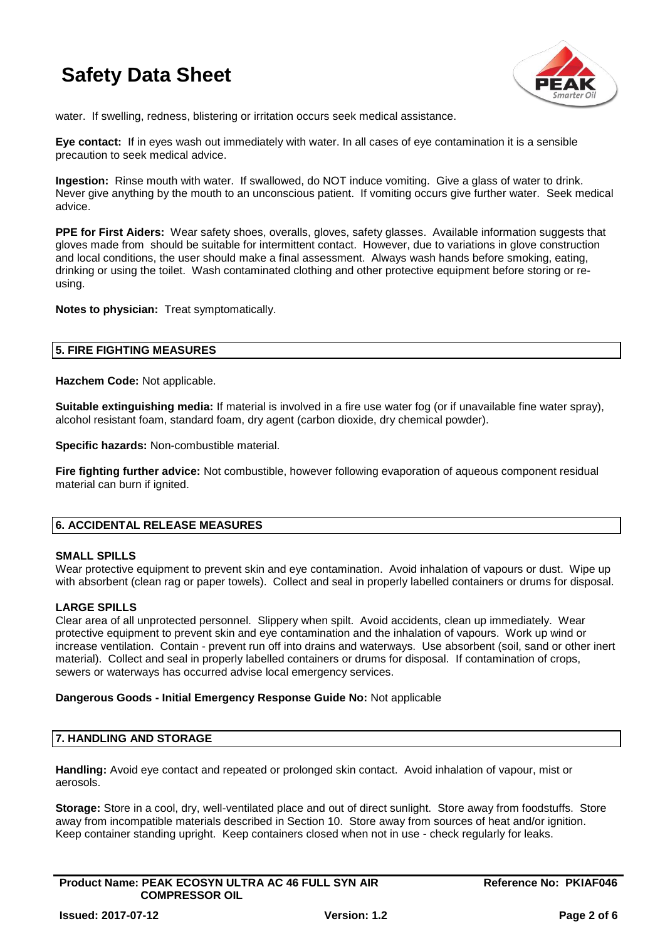

water. If swelling, redness, blistering or irritation occurs seek medical assistance.

**Eye contact:** If in eyes wash out immediately with water. In all cases of eye contamination it is a sensible precaution to seek medical advice.

**Ingestion:** Rinse mouth with water. If swallowed, do NOT induce vomiting. Give a glass of water to drink. Never give anything by the mouth to an unconscious patient. If vomiting occurs give further water. Seek medical advice.

**PPE for First Aiders:** Wear safety shoes, overalls, gloves, safety glasses. Available information suggests that gloves made from should be suitable for intermittent contact. However, due to variations in glove construction and local conditions, the user should make a final assessment. Always wash hands before smoking, eating, drinking or using the toilet. Wash contaminated clothing and other protective equipment before storing or reusing.

**Notes to physician:** Treat symptomatically.

### **5. FIRE FIGHTING MEASURES**

**Hazchem Code:** Not applicable.

**Suitable extinguishing media:** If material is involved in a fire use water fog (or if unavailable fine water spray), alcohol resistant foam, standard foam, dry agent (carbon dioxide, dry chemical powder).

**Specific hazards:** Non-combustible material.

**Fire fighting further advice:** Not combustible, however following evaporation of aqueous component residual material can burn if ignited.

### **6. ACCIDENTAL RELEASE MEASURES**

### **SMALL SPILLS**

Wear protective equipment to prevent skin and eye contamination. Avoid inhalation of vapours or dust. Wipe up with absorbent (clean rag or paper towels). Collect and seal in properly labelled containers or drums for disposal.

### **LARGE SPILLS**

Clear area of all unprotected personnel. Slippery when spilt. Avoid accidents, clean up immediately. Wear protective equipment to prevent skin and eye contamination and the inhalation of vapours. Work up wind or increase ventilation. Contain - prevent run off into drains and waterways. Use absorbent (soil, sand or other inert material). Collect and seal in properly labelled containers or drums for disposal. If contamination of crops, sewers or waterways has occurred advise local emergency services.

### **Dangerous Goods - Initial Emergency Response Guide No:** Not applicable

### **7. HANDLING AND STORAGE**

**Handling:** Avoid eye contact and repeated or prolonged skin contact. Avoid inhalation of vapour, mist or aerosols.

**Storage:** Store in a cool, dry, well-ventilated place and out of direct sunlight. Store away from foodstuffs. Store away from incompatible materials described in Section 10. Store away from sources of heat and/or ignition. Keep container standing upright. Keep containers closed when not in use - check regularly for leaks.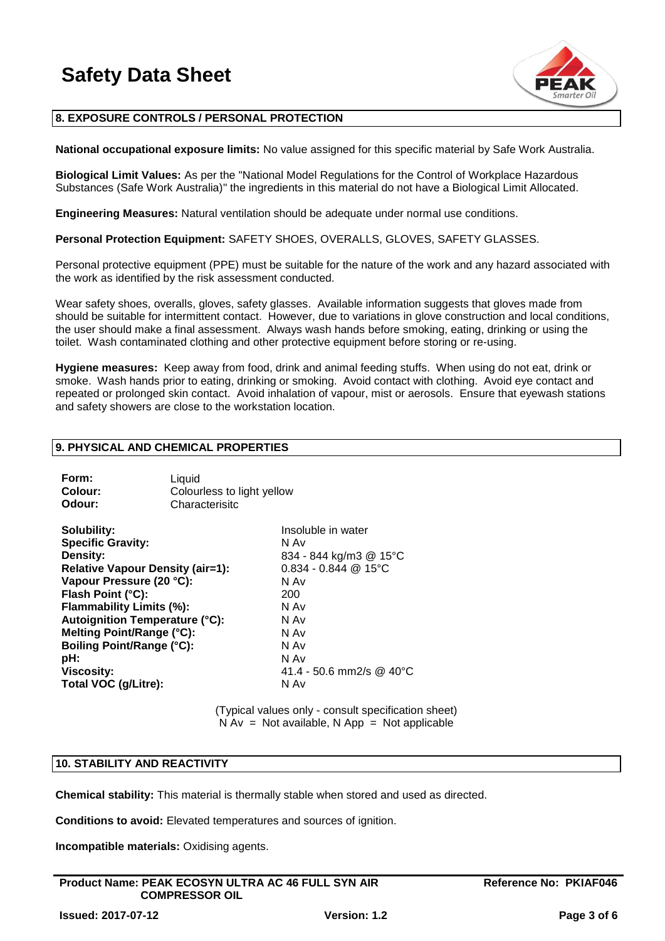

### **8. EXPOSURE CONTROLS / PERSONAL PROTECTION**

**National occupational exposure limits:** No value assigned for this specific material by Safe Work Australia.

**Biological Limit Values:** As per the "National Model Regulations for the Control of Workplace Hazardous Substances (Safe Work Australia)" the ingredients in this material do not have a Biological Limit Allocated.

**Engineering Measures:** Natural ventilation should be adequate under normal use conditions.

**Personal Protection Equipment:** SAFETY SHOES, OVERALLS, GLOVES, SAFETY GLASSES.

Personal protective equipment (PPE) must be suitable for the nature of the work and any hazard associated with the work as identified by the risk assessment conducted.

Wear safety shoes, overalls, gloves, safety glasses. Available information suggests that gloves made from should be suitable for intermittent contact. However, due to variations in glove construction and local conditions, the user should make a final assessment. Always wash hands before smoking, eating, drinking or using the toilet. Wash contaminated clothing and other protective equipment before storing or re-using.

**Hygiene measures:** Keep away from food, drink and animal feeding stuffs. When using do not eat, drink or smoke. Wash hands prior to eating, drinking or smoking. Avoid contact with clothing. Avoid eye contact and repeated or prolonged skin contact. Avoid inhalation of vapour, mist or aerosols. Ensure that eyewash stations and safety showers are close to the workstation location.

### **9. PHYSICAL AND CHEMICAL PROPERTIES**

| Form:          | Liauid                     |
|----------------|----------------------------|
| <b>Colour:</b> | Colourless to light yellow |
| Odour:         | Characterisitc             |

**Solubility:** Insoluble in water **Specific Gravity:** N Av **Density:** 834 - 844 kg/m3 @ 15°C **Relative Vapour Density (air=1):** 0.834 - 0.844 @ 15°C **Vapour Pressure (20 °C):** N Av **N** Av **Flash Point (°C):** 200 **Flash Point (°C): Flammability Limits (%):** N Av **Autoignition Temperature (°C):** N Av **Melting Point/Range (°C):** N Av **Boiling Point/Range (°C):** N Av **pH:** N Av **Viscosity:** 41.4 - 50.6 mm2/s @ 40°C **Total VOC (g/Litre):** N Av

(Typical values only - consult specification sheet)  $N Av = Not available, N App = Not applicable$ 

### **10. STABILITY AND REACTIVITY**

**Chemical stability:** This material is thermally stable when stored and used as directed.

**Conditions to avoid:** Elevated temperatures and sources of ignition.

**Incompatible materials:** Oxidising agents.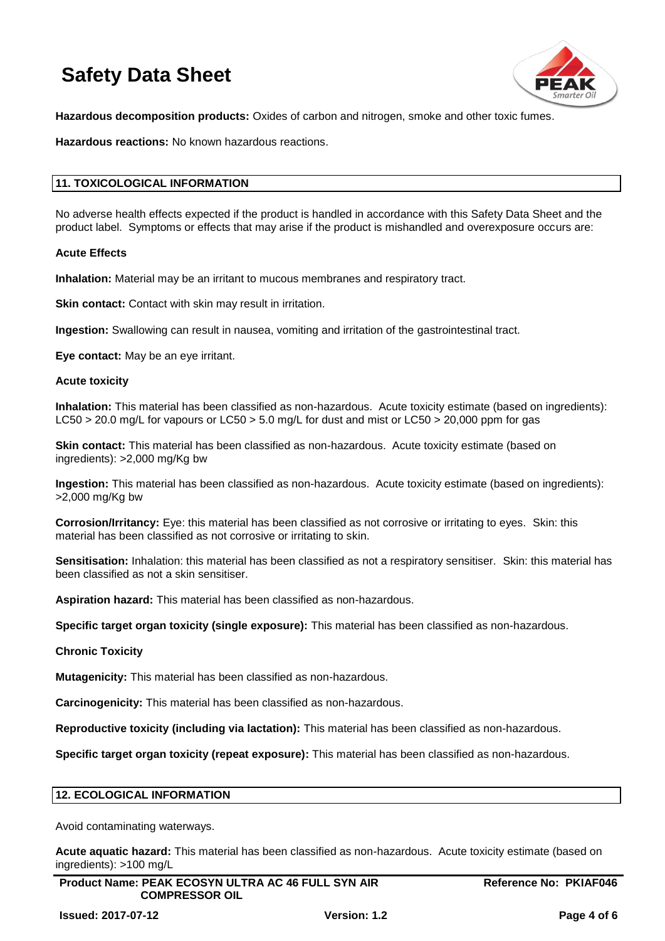

**Hazardous decomposition products:** Oxides of carbon and nitrogen, smoke and other toxic fumes.

**Hazardous reactions:** No known hazardous reactions.

## **11. TOXICOLOGICAL INFORMATION**

No adverse health effects expected if the product is handled in accordance with this Safety Data Sheet and the product label. Symptoms or effects that may arise if the product is mishandled and overexposure occurs are:

## **Acute Effects**

**Inhalation:** Material may be an irritant to mucous membranes and respiratory tract.

**Skin contact:** Contact with skin may result in irritation.

**Ingestion:** Swallowing can result in nausea, vomiting and irritation of the gastrointestinal tract.

**Eye contact:** May be an eye irritant.

#### **Acute toxicity**

**Inhalation:** This material has been classified as non-hazardous. Acute toxicity estimate (based on ingredients): LC50 > 20.0 mg/L for vapours or LC50 > 5.0 mg/L for dust and mist or LC50 > 20,000 ppm for gas

**Skin contact:** This material has been classified as non-hazardous. Acute toxicity estimate (based on ingredients): >2,000 mg/Kg bw

**Ingestion:** This material has been classified as non-hazardous. Acute toxicity estimate (based on ingredients): >2,000 mg/Kg bw

**Corrosion/Irritancy:** Eye: this material has been classified as not corrosive or irritating to eyes. Skin: this material has been classified as not corrosive or irritating to skin.

**Sensitisation:** Inhalation: this material has been classified as not a respiratory sensitiser. Skin: this material has been classified as not a skin sensitiser.

**Aspiration hazard:** This material has been classified as non-hazardous.

**Specific target organ toxicity (single exposure):** This material has been classified as non-hazardous.

### **Chronic Toxicity**

**Mutagenicity:** This material has been classified as non-hazardous.

**Carcinogenicity:** This material has been classified as non-hazardous.

**Reproductive toxicity (including via lactation):** This material has been classified as non-hazardous.

**Specific target organ toxicity (repeat exposure):** This material has been classified as non-hazardous.

### **12. ECOLOGICAL INFORMATION**

Avoid contaminating waterways.

**Acute aquatic hazard:** This material has been classified as non-hazardous. Acute toxicity estimate (based on ingredients): >100 mg/L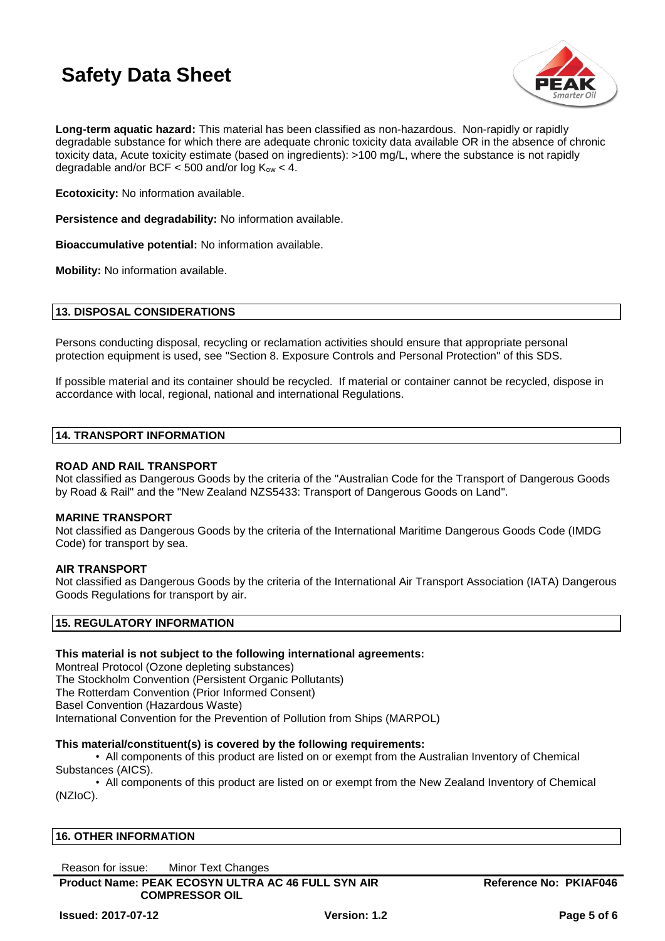

**Long-term aquatic hazard:** This material has been classified as non-hazardous. Non-rapidly or rapidly degradable substance for which there are adequate chronic toxicity data available OR in the absence of chronic toxicity data, Acute toxicity estimate (based on ingredients): >100 mg/L, where the substance is not rapidly degradable and/or BCF  $<$  500 and/or log K<sub>ow</sub>  $<$  4.

**Ecotoxicity:** No information available.

**Persistence and degradability:** No information available.

**Bioaccumulative potential:** No information available.

**Mobility:** No information available.

### **13. DISPOSAL CONSIDERATIONS**

Persons conducting disposal, recycling or reclamation activities should ensure that appropriate personal protection equipment is used, see "Section 8. Exposure Controls and Personal Protection" of this SDS.

If possible material and its container should be recycled. If material or container cannot be recycled, dispose in accordance with local, regional, national and international Regulations.

### **14. TRANSPORT INFORMATION**

### **ROAD AND RAIL TRANSPORT**

Not classified as Dangerous Goods by the criteria of the "Australian Code for the Transport of Dangerous Goods by Road & Rail" and the "New Zealand NZS5433: Transport of Dangerous Goods on Land".

### **MARINE TRANSPORT**

Not classified as Dangerous Goods by the criteria of the International Maritime Dangerous Goods Code (IMDG Code) for transport by sea.

### **AIR TRANSPORT**

Not classified as Dangerous Goods by the criteria of the International Air Transport Association (IATA) Dangerous Goods Regulations for transport by air.

### **15. REGULATORY INFORMATION**

### **This material is not subject to the following international agreements:**

Montreal Protocol (Ozone depleting substances) The Stockholm Convention (Persistent Organic Pollutants) The Rotterdam Convention (Prior Informed Consent) Basel Convention (Hazardous Waste) International Convention for the Prevention of Pollution from Ships (MARPOL)

### **This material/constituent(s) is covered by the following requirements:**

• All components of this product are listed on or exempt from the Australian Inventory of Chemical Substances (AICS).

• All components of this product are listed on or exempt from the New Zealand Inventory of Chemical (NZIoC).

### **16. OTHER INFORMATION**

Reason for issue: Minor Text Changes

**Product Name: PEAK ECOSYN ULTRA AC 46 FULL SYN AIR COMPRESSOR OIL**